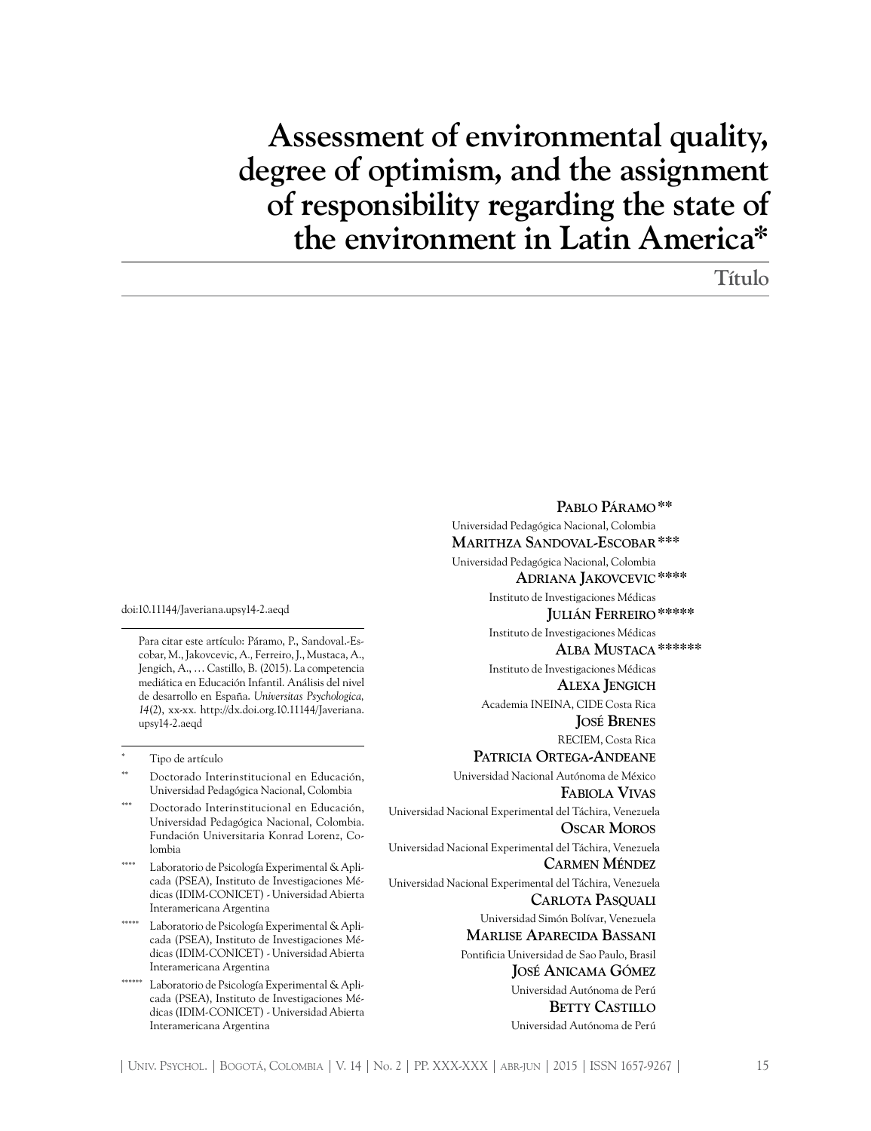# **Assessment of environmental quality, degree of optimism, and the assignment of responsibility regarding the state of the environment in Latin America\***

**Título**

doi:10.11144/Javeriana.upsy14-2.aeqd

Para citar este artículo: Páramo, P., Sandoval.-Escobar, M., Jakovcevic, A*.,* Ferreiro, J., Mustaca, A., Jengich, A., … Castillo, B. (2015). La competencia mediática en Educación Infantil. Análisis del nivel de desarrollo en España. *Universitas Psychologica, 14*(2), xx-xx. http://dx.doi.org.10.11144/Javeriana. upsy14-2.aeqd

Tipo de artículo

- Doctorado Interinstitucional en Educación, Universidad Pedagógica Nacional, Colombia
- Doctorado Interinstitucional en Educación, Universidad Pedagógica Nacional, Colombia. Fundación Universitaria Konrad Lorenz, Colombia
- Laboratorio de Psicología Experimental & Aplicada (PSEA), Instituto de Investigaciones Médicas (IDIM-CONICET) - Universidad Abierta Interamericana Argentina
- Laboratorio de Psicología Experimental & Aplicada (PSEA), Instituto de Investigaciones Médicas (IDIM-CONICET) - Universidad Abierta Interamericana Argentina
- \*\*\*\*\*\* Laboratorio de Psicología Experimental & Aplicada (PSEA), Instituto de Investigaciones Médicas (IDIM-CONICET) - Universidad Abierta Interamericana Argentina

**Pablo Páramo\*\*** Universidad Pedagógica Nacional, Colombia  **Marithza Sandoval-Escobar\*\*\***  Universidad Pedagógica Nacional, Colombia  **Adriana Jakovcevic\*\*\*\*** Instituto de Investigaciones Médicas **Julián Ferreiro\*\*\*\*\*** Instituto de Investigaciones Médicas  **Alba Mustaca\*\*\*\*\*\*** Instituto de Investigaciones Médicas  **Alexa Jengich** Academia INEINA, CIDE Costa Rica **José Brenes** RECIEM, Costa Rica **Patricia Ortega-Andeane** Universidad Nacional Autónoma de México **Fabiola Vivas** Universidad Nacional Experimental del Táchira, Venezuela  **Oscar Moros** Universidad Nacional Experimental del Táchira, Venezuela  **Carmen Méndez** Universidad Nacional Experimental del Táchira, Venezuela  **Carlota Pasquali** Universidad Simón Bolívar, Venezuela  **Marlise Aparecida Bassani** Pontificia Universidad de Sao Paulo, Brasil **José Anicama Gómez** Universidad Autónoma de Perú  **Betty Castillo** Universidad Autónoma de Perú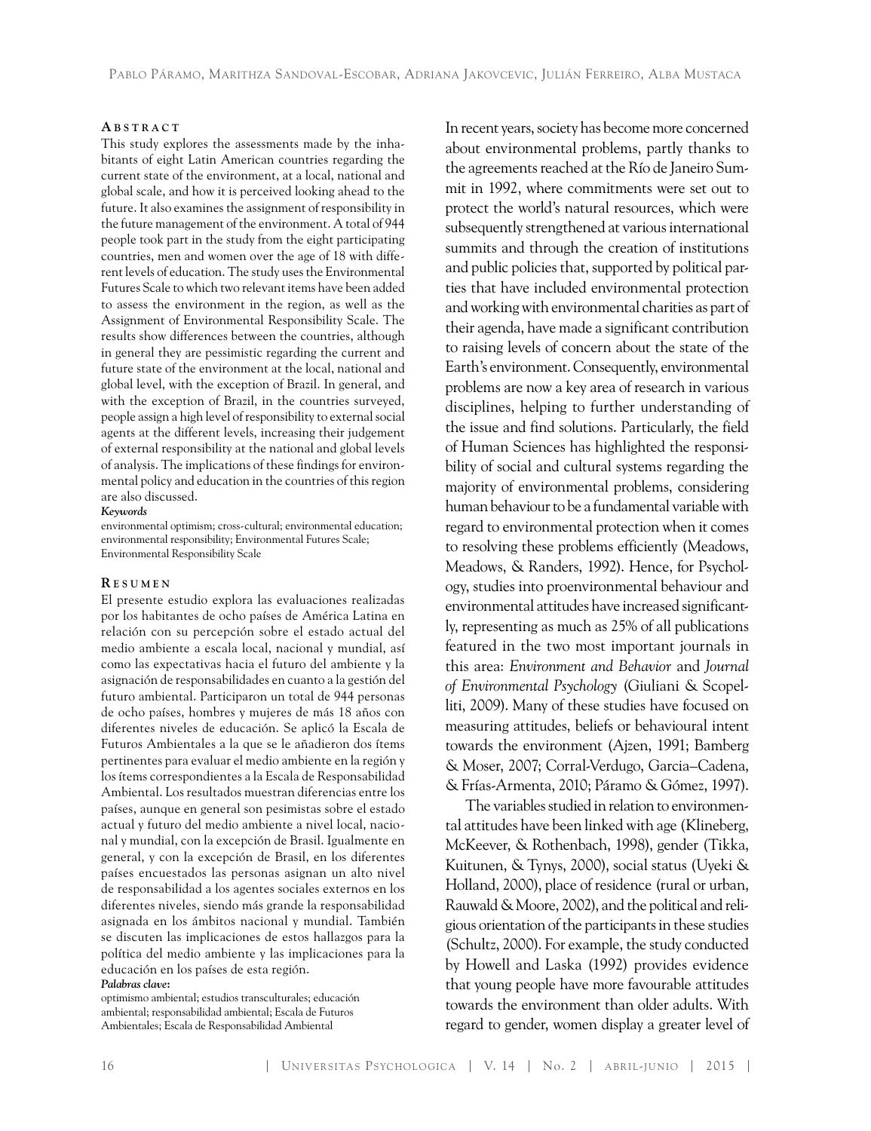#### **A b s t r a c t**

This study explores the assessments made by the inhabitants of eight Latin American countries regarding the current state of the environment, at a local, national and global scale, and how it is perceived looking ahead to the future. It also examines the assignment of responsibility in the future management of the environment. A total of 944 people took part in the study from the eight participating countries, men and women over the age of 18 with different levels of education. The study uses the Environmental Futures Scale to which two relevant items have been added to assess the environment in the region, as well as the Assignment of Environmental Responsibility Scale. The results show differences between the countries, although in general they are pessimistic regarding the current and future state of the environment at the local, national and global level, with the exception of Brazil. In general, and with the exception of Brazil, in the countries surveyed, people assign a high level of responsibility to external social agents at the different levels, increasing their judgement of external responsibility at the national and global levels of analysis. The implications of these findings for environmental policy and education in the countries of this region are also discussed.

#### *Keywords*

environmental optimism; cross-cultural; environmental education; environmental responsibility; Environmental Futures Scale; Environmental Responsibility Scale

#### **R es u m e n**

El presente estudio explora las evaluaciones realizadas por los habitantes de ocho países de América Latina en relación con su percepción sobre el estado actual del medio ambiente a escala local, nacional y mundial, así como las expectativas hacia el futuro del ambiente y la asignación de responsabilidades en cuanto a la gestión del futuro ambiental. Participaron un total de 944 personas de ocho países, hombres y mujeres de más 18 años con diferentes niveles de educación. Se aplicó la Escala de Futuros Ambientales a la que se le añadieron dos ítems pertinentes para evaluar el medio ambiente en la región y los ítems correspondientes a la Escala de Responsabilidad Ambiental. Los resultados muestran diferencias entre los países, aunque en general son pesimistas sobre el estado actual y futuro del medio ambiente a nivel local, nacional y mundial, con la excepción de Brasil. Igualmente en general, y con la excepción de Brasil, en los diferentes países encuestados las personas asignan un alto nivel de responsabilidad a los agentes sociales externos en los diferentes niveles, siendo más grande la responsabilidad asignada en los ámbitos nacional y mundial. También se discuten las implicaciones de estos hallazgos para la política del medio ambiente y las implicaciones para la educación en los países de esta región. *Palabras clave***:**

optimismo ambiental; estudios transculturales; educación ambiental; responsabilidad ambiental; Escala de Futuros Ambientales; Escala de Responsabilidad Ambiental

In recent years, society has become more concerned about environmental problems, partly thanks to the agreements reached at the Río de Janeiro Summit in 1992, where commitments were set out to protect the world's natural resources, which were subsequently strengthened at various international summits and through the creation of institutions and public policies that, supported by political parties that have included environmental protection and working with environmental charities as part of their agenda, have made a significant contribution to raising levels of concern about the state of the Earth's environment. Consequently, environmental problems are now a key area of research in various disciplines, helping to further understanding of the issue and find solutions. Particularly, the field of Human Sciences has highlighted the responsibility of social and cultural systems regarding the majority of environmental problems, considering human behaviour to be a fundamental variable with regard to environmental protection when it comes to resolving these problems efficiently (Meadows, Meadows, & Randers, 1992). Hence, for Psychology, studies into proenvironmental behaviour and environmental attitudes have increased significantly, representing as much as 25% of all publications featured in the two most important journals in this area: *Environment and Behavior* and *Journal of Environmental Psychology* (Giuliani & Scopelliti, 2009). Many of these studies have focused on measuring attitudes, beliefs or behavioural intent towards the environment (Ajzen, 1991; Bamberg & Moser, 2007; Corral-Verdugo, Garcia–Cadena, & Frías-Armenta, 2010; Páramo & Gómez, 1997).

The variables studied in relation to environmental attitudes have been linked with age (Klineberg, McKeever, & Rothenbach, 1998), gender (Tikka, Kuitunen, & Tynys, 2000), social status (Uyeki & Holland, 2000), place of residence (rural or urban, Rauwald & Moore, 2002), and the political and religious orientation of the participants in these studies (Schultz, 2000). For example, the study conducted by Howell and Laska (1992) provides evidence that young people have more favourable attitudes towards the environment than older adults. With regard to gender, women display a greater level of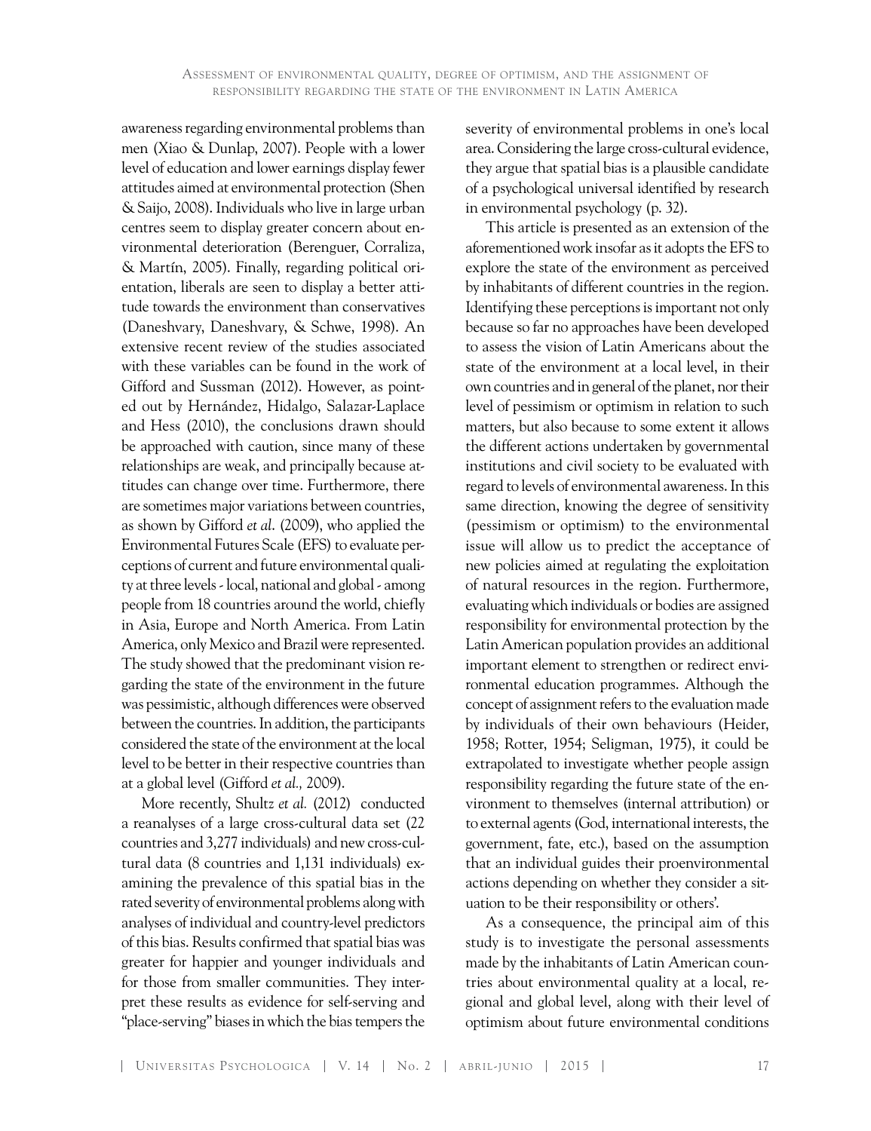awareness regarding environmental problems than men (Xiao & Dunlap, 2007). People with a lower level of education and lower earnings display fewer attitudes aimed at environmental protection (Shen & Saijo, 2008). Individuals who live in large urban centres seem to display greater concern about environmental deterioration (Berenguer, Corraliza, & Martín, 2005). Finally, regarding political orientation, liberals are seen to display a better attitude towards the environment than conservatives (Daneshvary, Daneshvary, & Schwe, 1998). An extensive recent review of the studies associated with these variables can be found in the work of Gifford and Sussman (2012). However, as pointed out by Hernández, Hidalgo, Salazar-Laplace and Hess (2010), the conclusions drawn should be approached with caution, since many of these relationships are weak, and principally because attitudes can change over time. Furthermore, there are sometimes major variations between countries, as shown by Gifford *et al*. (2009), who applied the Environmental Futures Scale (EFS) to evaluate perceptions of current and future environmental quality at three levels - local, national and global - among people from 18 countries around the world, chiefly in Asia, Europe and North America. From Latin America, only Mexico and Brazil were represented. The study showed that the predominant vision regarding the state of the environment in the future was pessimistic, although differences were observed between the countries. In addition, the participants considered the state of the environment at the local level to be better in their respective countries than at a global level (Gifford *et al.,* 2009).

More recently, Shultz *et al.* (2012) conducted a reanalyses of a large cross-cultural data set (22 countries and 3,277 individuals) and new cross-cultural data (8 countries and 1,131 individuals) examining the prevalence of this spatial bias in the rated severity of environmental problems along with analyses of individual and country-level predictors of this bias. Results confirmed that spatial bias was greater for happier and younger individuals and for those from smaller communities. They interpret these results as evidence for self-serving and "place-serving" biases in which the bias tempers the

severity of environmental problems in one's local area. Considering the large cross-cultural evidence, they argue that spatial bias is a plausible candidate of a psychological universal identified by research in environmental psychology (p. 32).

This article is presented as an extension of the aforementioned work insofar as it adopts the EFS to explore the state of the environment as perceived by inhabitants of different countries in the region. Identifying these perceptions is important not only because so far no approaches have been developed to assess the vision of Latin Americans about the state of the environment at a local level, in their own countries and in general of the planet, nor their level of pessimism or optimism in relation to such matters, but also because to some extent it allows the different actions undertaken by governmental institutions and civil society to be evaluated with regard to levels of environmental awareness. In this same direction, knowing the degree of sensitivity (pessimism or optimism) to the environmental issue will allow us to predict the acceptance of new policies aimed at regulating the exploitation of natural resources in the region. Furthermore, evaluating which individuals or bodies are assigned responsibility for environmental protection by the Latin American population provides an additional important element to strengthen or redirect environmental education programmes. Although the concept of assignment refers to the evaluation made by individuals of their own behaviours (Heider, 1958; Rotter, 1954; Seligman, 1975), it could be extrapolated to investigate whether people assign responsibility regarding the future state of the environment to themselves (internal attribution) or to external agents (God, international interests, the government, fate, etc.), based on the assumption that an individual guides their proenvironmental actions depending on whether they consider a situation to be their responsibility or others'.

As a consequence, the principal aim of this study is to investigate the personal assessments made by the inhabitants of Latin American countries about environmental quality at a local, regional and global level, along with their level of optimism about future environmental conditions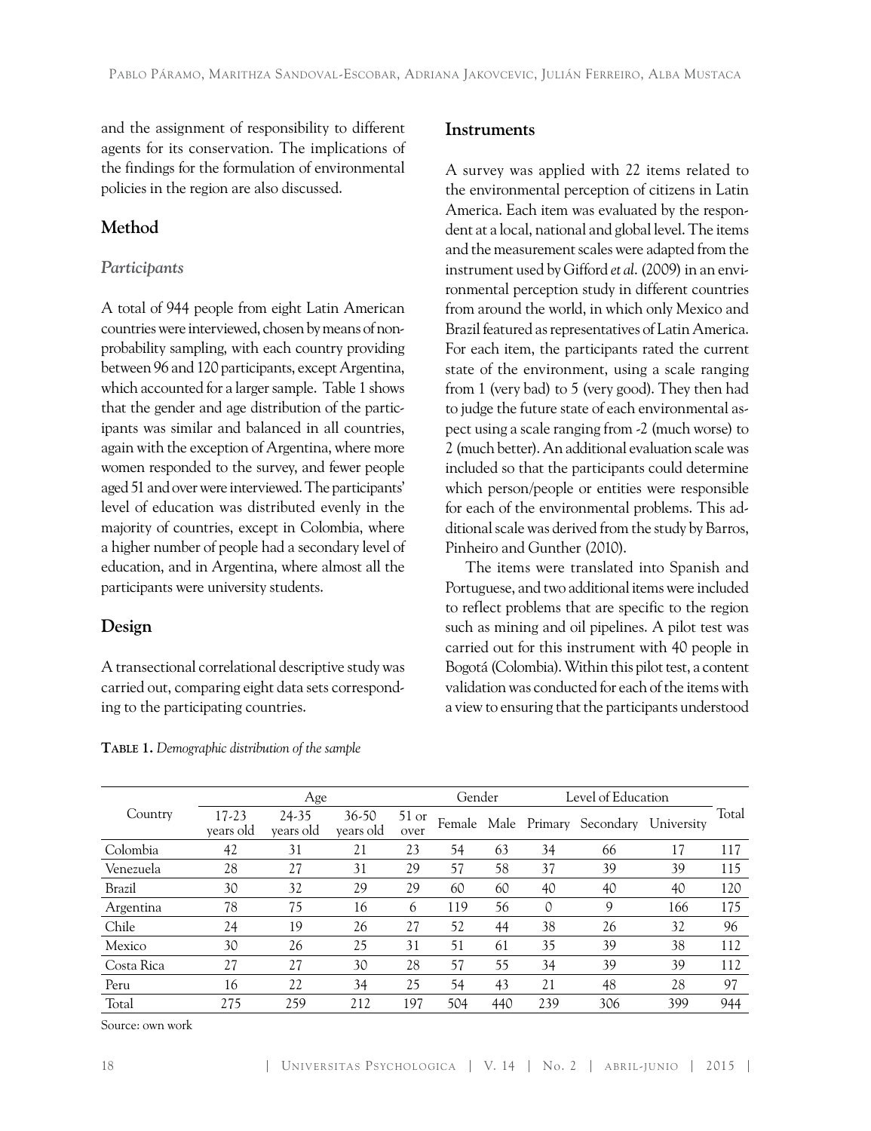and the assignment of responsibility to different agents for its conservation. The implications of the findings for the formulation of environmental policies in the region are also discussed.

# **Method**

## *Participants*

A total of 944 people from eight Latin American countries were interviewed, chosen by means of nonprobability sampling, with each country providing between 96 and 120 participants, except Argentina, which accounted for a larger sample. Table 1 shows that the gender and age distribution of the participants was similar and balanced in all countries, again with the exception of Argentina, where more women responded to the survey, and fewer people aged 51 and over were interviewed. The participants' level of education was distributed evenly in the majority of countries, except in Colombia, where a higher number of people had a secondary level of education, and in Argentina, where almost all the participants were university students.

## **Design**

A transectional correlational descriptive study was carried out, comparing eight data sets corresponding to the participating countries.

## **Instruments**

A survey was applied with 22 items related to the environmental perception of citizens in Latin America. Each item was evaluated by the respondent at a local, national and global level. The items and the measurement scales were adapted from the instrument used by Gifford *et al*. (2009) in an environmental perception study in different countries from around the world, in which only Mexico and Brazil featured as representatives of Latin America. For each item, the participants rated the current state of the environment, using a scale ranging from 1 (very bad) to 5 (very good). They then had to judge the future state of each environmental aspect using a scale ranging from -2 (much worse) to 2 (much better). An additional evaluation scale was included so that the participants could determine which person/people or entities were responsible for each of the environmental problems. This additional scale was derived from the study by Barros, Pinheiro and Gunther (2010).

The items were translated into Spanish and Portuguese, and two additional items were included to reflect problems that are specific to the region such as mining and oil pipelines. A pilot test was carried out for this instrument with 40 people in Bogotá (Colombia). Within this pilot test, a content validation was conducted for each of the items with a view to ensuring that the participants understood

|               |                    | Gender                    |                        | Level of Education |     |     |     |                               |            |       |
|---------------|--------------------|---------------------------|------------------------|--------------------|-----|-----|-----|-------------------------------|------------|-------|
| Country       | 17-23<br>years old | Age<br>24-35<br>years old | $36 - 50$<br>years old | $51$ or<br>over    |     |     |     | Female Male Primary Secondary | University | Total |
| Colombia      | 42                 | 31                        | 21                     | 23                 | 54  | 63  | 34  | 66                            | 17         | 117   |
| Venezuela     | 28                 | 27                        | 31                     | 29                 | 57  | 58  | 37  | 39                            | 39         | 115   |
| <b>Brazil</b> | 30                 | 32                        | 29                     | 29                 | 60  | 60  | 40  | 40                            | 40         | 120   |
| Argentina     | 78                 | 75                        | 16                     | 6                  | 119 | 56  | 0   | 9                             | 166        | 175   |
| Chile         | 24                 | 19                        | 26                     | 27                 | 52  | 44  | 38  | 26                            | 32         | 96    |
| Mexico        | 30                 | 26                        | 25                     | 31                 | 51  | 61  | 35  | 39                            | 38         | 112   |
| Costa Rica    | 27                 | 27                        | 30                     | 28                 | 57  | 55  | 34  | 39                            | 39         | 112   |
| Peru          | 16                 | 22                        | 34                     | 25                 | 54  | 43  | 21  | 48                            | 28         | 97    |
| Total         | 275                | 259                       | 212                    | 197                | 504 | 440 | 239 | 306                           | 399        | 944   |

**Table 1.** *Demographic distribution of the sample* 

Source: own work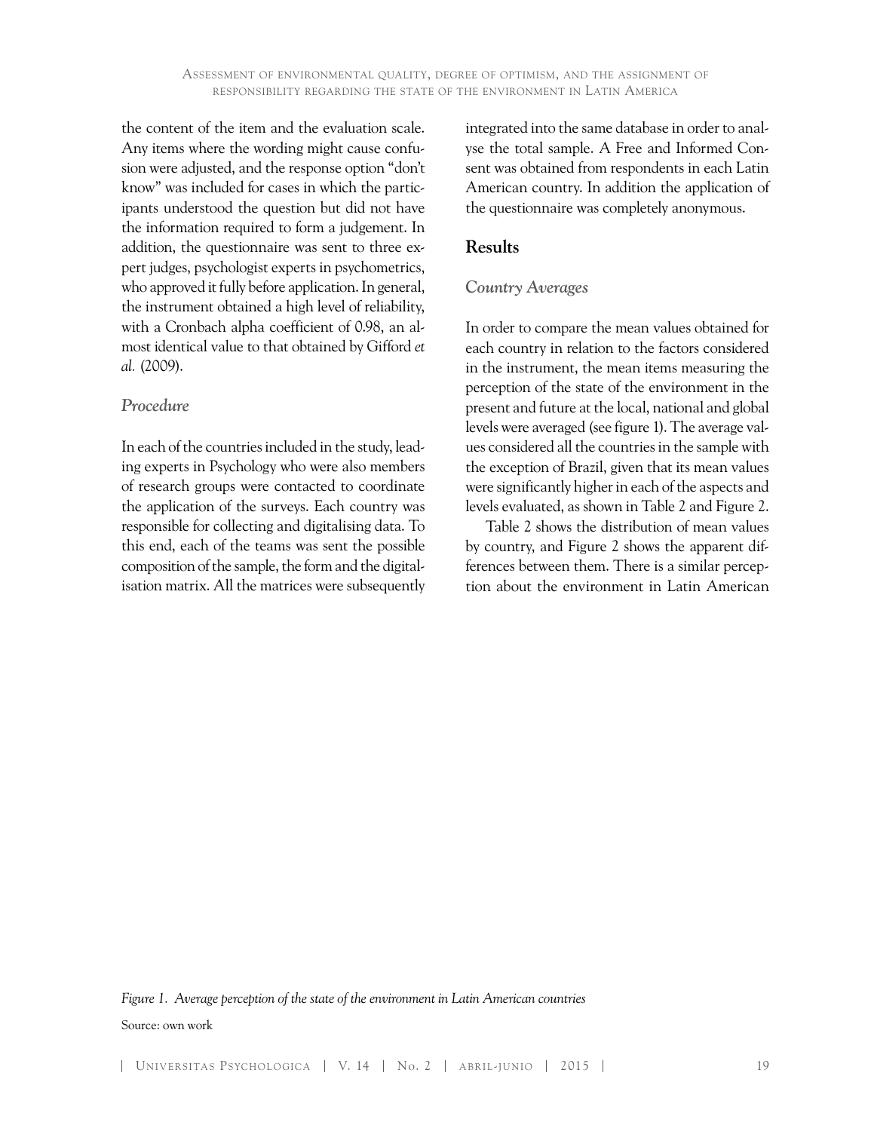the content of the item and the evaluation scale. Any items where the wording might cause confusion were adjusted, and the response option "don't know" was included for cases in which the participants understood the question but did not have the information required to form a judgement. In addition, the questionnaire was sent to three expert judges, psychologist experts in psychometrics, who approved it fully before application. In general, the instrument obtained a high level of reliability, with a Cronbach alpha coefficient of 0.98, an almost identical value to that obtained by Gifford *et al.* (2009).

#### *Procedure*

In each of the countries included in the study, leading experts in Psychology who were also members of research groups were contacted to coordinate the application of the surveys. Each country was responsible for collecting and digitalising data. To this end, each of the teams was sent the possible composition of the sample, the form and the digitalisation matrix. All the matrices were subsequently integrated into the same database in order to analyse the total sample. A Free and Informed Consent was obtained from respondents in each Latin American country. In addition the application of the questionnaire was completely anonymous.

## **Results**

#### *Country Averages*

In order to compare the mean values obtained for each country in relation to the factors considered in the instrument, the mean items measuring the perception of the state of the environment in the present and future at the local, national and global levels were averaged (see figure 1). The average values considered all the countries in the sample with the exception of Brazil, given that its mean values were significantly higher in each of the aspects and levels evaluated, as shown in Table 2 and Figure 2.

Table 2 shows the distribution of mean values by country, and Figure 2 shows the apparent differences between them. There is a similar perception about the environment in Latin American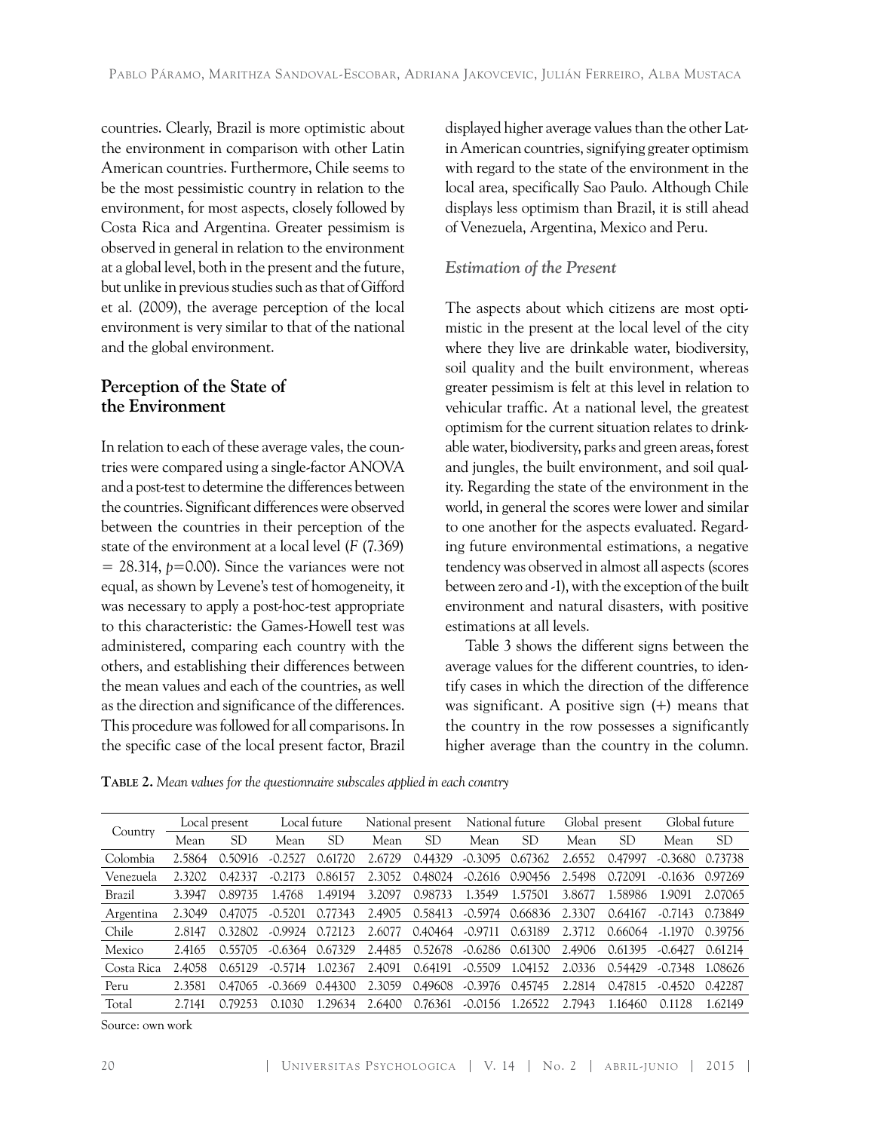countries. Clearly, Brazil is more optimistic about the environment in comparison with other Latin American countries. Furthermore, Chile seems to be the most pessimistic country in relation to the environment, for most aspects, closely followed by Costa Rica and Argentina. Greater pessimism is observed in general in relation to the environment at a global level, both in the present and the future, but unlike in previous studies such as that of Gifford et al. (2009), the average perception of the local environment is very similar to that of the national and the global environment.

# **Perception of the State of the Environment**

In relation to each of these average vales, the countries were compared using a single-factor ANOVA and a post-test to determine the differences between the countries. Significant differences were observed between the countries in their perception of the state of the environment at a local level (*F* (7.369)  $= 28.314$ ,  $p=0.00$ ). Since the variances were not equal, as shown by Levene's test of homogeneity, it was necessary to apply a post-hoc-test appropriate to this characteristic: the Games-Howell test was administered, comparing each country with the others, and establishing their differences between the mean values and each of the countries, as well as the direction and significance of the differences. This procedure was followed for all comparisons. In the specific case of the local present factor, Brazil

displayed higher average values than the other Latin American countries, signifying greater optimism with regard to the state of the environment in the local area, specifically Sao Paulo. Although Chile displays less optimism than Brazil, it is still ahead of Venezuela, Argentina, Mexico and Peru.

## *Estimation of the Present*

The aspects about which citizens are most optimistic in the present at the local level of the city where they live are drinkable water, biodiversity, soil quality and the built environment, whereas greater pessimism is felt at this level in relation to vehicular traffic. At a national level, the greatest optimism for the current situation relates to drinkable water, biodiversity, parks and green areas, forest and jungles, the built environment, and soil quality. Regarding the state of the environment in the world, in general the scores were lower and similar to one another for the aspects evaluated. Regarding future environmental estimations, a negative tendency was observed in almost all aspects (scores between zero and -1), with the exception of the built environment and natural disasters, with positive estimations at all levels.

Table 3 shows the different signs between the average values for the different countries, to identify cases in which the direction of the difference was significant. A positive sign (+) means that the country in the row possesses a significantly higher average than the country in the column.

**Table 2.** *Mean values for the questionnaire subscales applied in each country*

| Country    | Local present |         | Local future |         | National present |         | National future |         | Global present |         | Global future |           |
|------------|---------------|---------|--------------|---------|------------------|---------|-----------------|---------|----------------|---------|---------------|-----------|
|            | Mean          | SD      | Mean         | SD      | Mean             | SD      | Mean            | SD      | Mean           | SD      | Mean          | <b>SD</b> |
| Colombia   | 2.5864        | 0.50916 | $-0.2527$    | 0.61720 | 2.6729           | 0.44329 | $-0.3095$       | 0.67362 | 2.6552         | 0.47997 | $-0.3680$     | 0.73738   |
| Venezuela  | 2.3202        | 0.42337 | $-0.2173$    | 0.86157 | 2.3052           | 0.48024 | $-0.2616$       | 0.90456 | 2.5498         | 0.72091 | $-0.1636$     | 0.97269   |
| Brazil     | 3.3947        | 0.89735 | 1.4768       | 1.49194 | 3.2097           | 0.98733 | 1.3549          | 1.57501 | 3.8677         | 1.58986 | 1.9091        | 2.07065   |
| Argentina  | 2.3049        | 0.47075 | $-0.5201$    | 0.77343 | 2.4905           | 0.58413 | $-0.5974$       | 0.66836 | 2.3307         | 0.64167 | $-0.7143$     | 0.73849   |
| Chile      | 2.8147        | 0.32802 | $-0.9924$    | 0.72123 | 2.6077           | 0.40464 | $-0.9711$       | 0.63189 | 2.3712         | 0.66064 | $-1.1970$     | 0.39756   |
| Mexico     | 2.4165        | 0.55705 | $-0.6364$    | 0.67329 | 2.4485           | 0.52678 | $-0.6286$       | 0.61300 | 2.4906         | 0.61395 | $-0.6427$     | 0.61214   |
| Costa Rica | 2.4058        | 0.65129 | $-0.5714$    | 1.02367 | 2.4091           | 0.64191 | $-0.5509$       | 1.04152 | 2.0336         | 0.54429 | $-0.7348$     | 1.08626   |
| Peru       | 2.3581        | 0.47065 | $-0.3669$    | 0.44300 | 2.3059           | 0.49608 | $-0.3976$       | 0.45745 | 2.2814         | 0.47815 | $-0.4520$     | 0.42287   |
| Total      | 2.7141        | 0.79253 | 0.1030       | 1.29634 | 2.6400           | 0.76361 | $-0.0156$       | .26522  | 2.7943         | 1.16460 | 0.1128        | 1.62149   |

Source: own work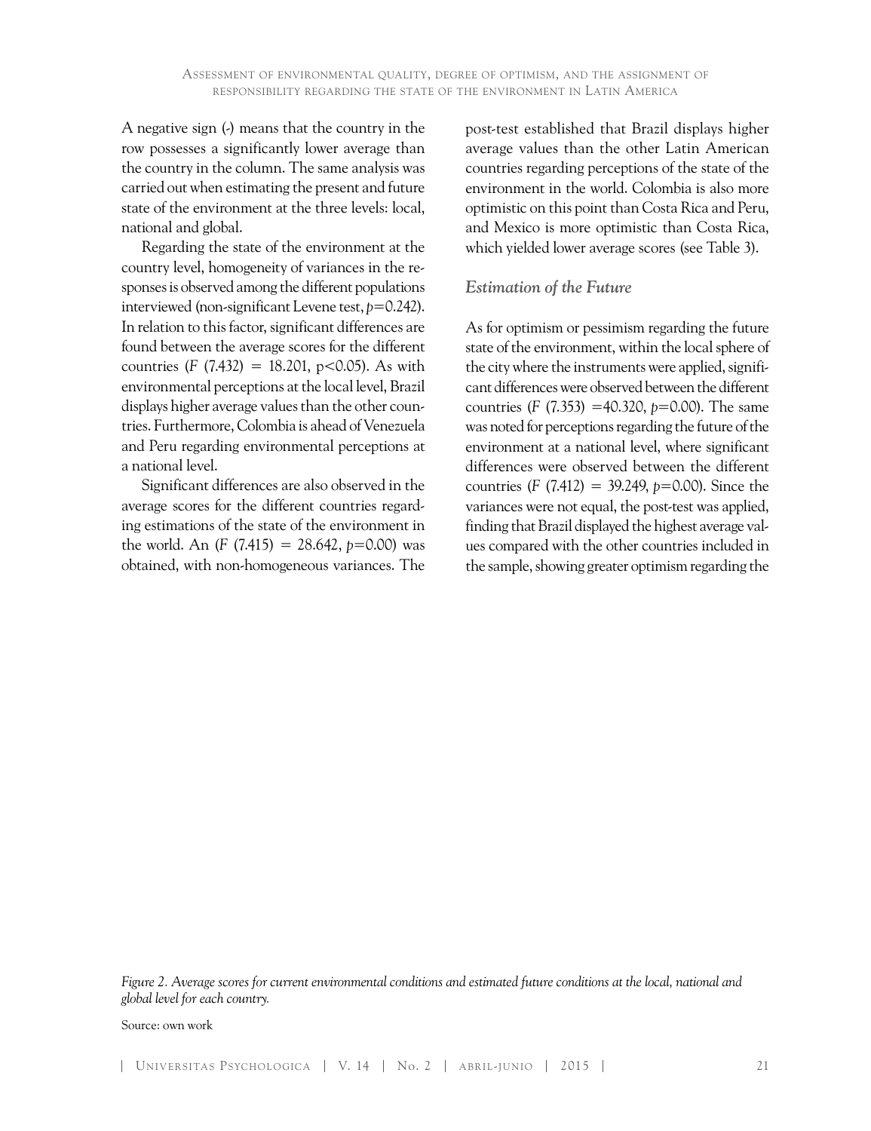A negative sign (-) means that the country in the row possesses a significantly lower average than the country in the column. The same analysis was carried out when estimating the present and future state of the environment at the three levels: local, national and global.

Regarding the state of the environment at the country level, homogeneity of variances in the responses is observed among the different populations interviewed (non-significant Levene test, *p*=0.242). In relation to this factor, significant differences are found between the average scores for the different countries (*F* (7.432) = 18.201, p<0.05). As with environmental perceptions at the local level, Brazil displays higher average values than the other countries. Furthermore, Colombia is ahead of Venezuela and Peru regarding environmental perceptions at a national level.

Significant differences are also observed in the average scores for the different countries regarding estimations of the state of the environment in the world. An  $(F (7.415) = 28.642, p=0.00)$  was obtained, with non-homogeneous variances. The post-test established that Brazil displays higher average values than the other Latin American countries regarding perceptions of the state of the environment in the world. Colombia is also more optimistic on this point than Costa Rica and Peru, and Mexico is more optimistic than Costa Rica, which yielded lower average scores (see Table 3).

#### *Estimation of the Future*

As for optimism or pessimism regarding the future state of the environment, within the local sphere of the city where the instruments were applied, significant differences were observed between the different countries (*F* (7.353) =40.320, *p*=0.00). The same was noted for perceptions regarding the future of the environment at a national level, where significant differences were observed between the different countries (*F* (7.412) = 39.249, *p*=0.00). Since the variances were not equal, the post-test was applied, finding that Brazil displayed the highest average values compared with the other countries included in the sample, showing greater optimism regarding the

*Figure 2. Average scores for current environmental conditions and estimated future conditions at the local, national and global level for each country.*

Source: own work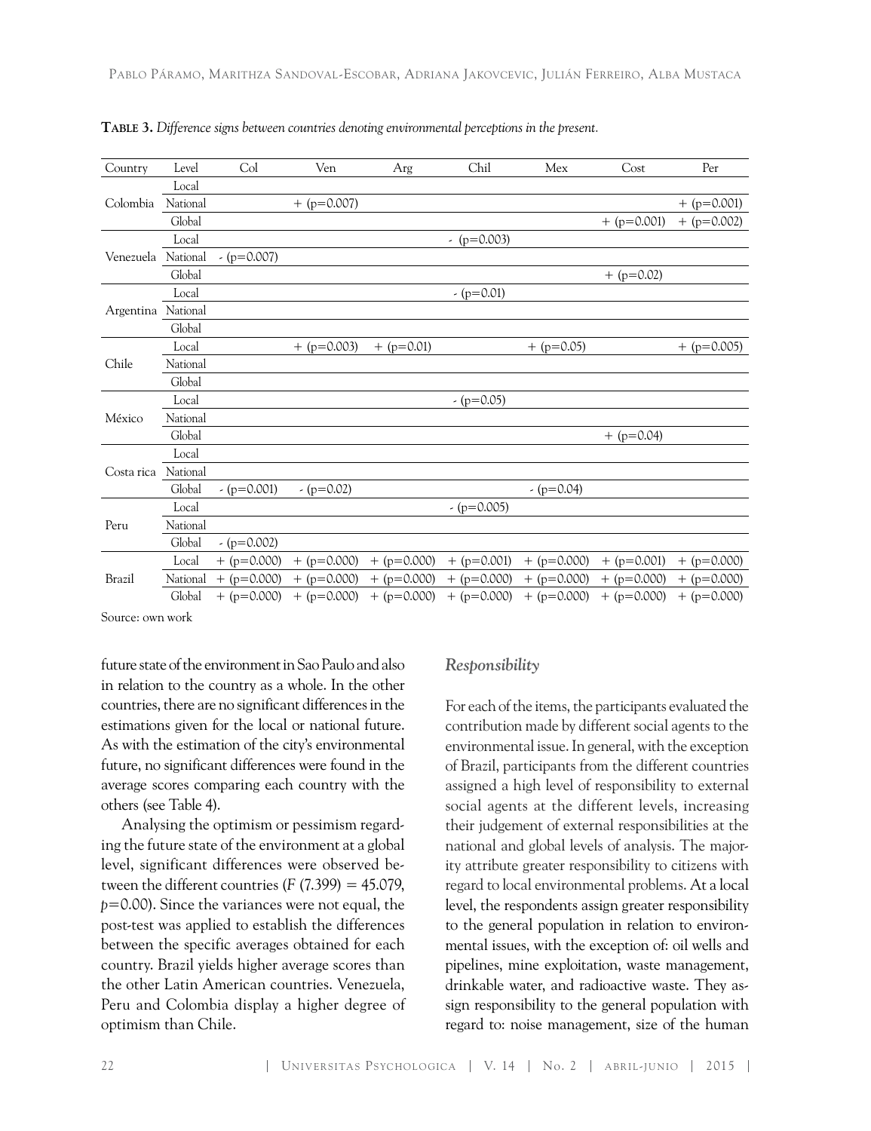| Country       | Level    | Col           | Ven           | Arg           | Chil          | Mex           | Cost          | Per           |
|---------------|----------|---------------|---------------|---------------|---------------|---------------|---------------|---------------|
| Colombia      | Local    |               |               |               |               |               |               |               |
|               | National |               | $+$ (p=0.007) |               |               |               |               | $+$ (p=0.001) |
|               | Global   |               |               |               |               |               | $+$ (p=0.001) | $+$ (p=0.002) |
|               | Local    |               |               |               | $-(p=0.003)$  |               |               |               |
| Venezuela     | National | $-(p=0.007)$  |               |               |               |               |               |               |
|               | Global   |               |               |               |               |               | $+$ (p=0.02)  |               |
|               | Local    |               |               |               | $-(p=0.01)$   |               |               |               |
| Argentina     | National |               |               |               |               |               |               |               |
|               | Global   |               |               |               |               |               |               |               |
|               | Local    |               | $+$ (p=0.003) | $+$ (p=0.01)  |               | $+$ (p=0.05)  |               | $+$ (p=0.005) |
| Chile         | National |               |               |               |               |               |               |               |
|               | Global   |               |               |               |               |               |               |               |
|               | Local    |               |               |               | $-(p=0.05)$   |               |               |               |
| México        | National |               |               |               |               |               |               |               |
|               | Global   |               |               |               |               |               | $+$ (p=0.04)  |               |
|               | Local    |               |               |               |               |               |               |               |
| Costa rica    | National |               |               |               |               |               |               |               |
|               | Global   | $-(p=0.001)$  | $-(p=0.02)$   |               |               | $-(p=0.04)$   |               |               |
| Peru          | Local    |               |               |               | $-(p=0.005)$  |               |               |               |
|               | National |               |               |               |               |               |               |               |
|               | Global   | $-(p=0.002)$  |               |               |               |               |               |               |
| <b>Brazil</b> | Local    | $+$ (p=0.000) | $+$ (p=0.000) | $+$ (p=0.000) | $+$ (p=0.001) | $+$ (p=0.000) | $+$ (p=0.001) | $+$ (p=0.000) |
|               | National | $+$ (p=0.000) | $+$ (p=0.000) | $+$ (p=0.000) | $+$ (p=0.000) | $+$ (p=0.000) | $+$ (p=0.000) | $+$ (p=0.000) |
|               | Global   | $+$ (p=0.000) | $+$ (p=0.000) | $+$ (p=0.000) | $+$ (p=0.000) | $+$ (p=0.000) | $+$ (p=0.000) | $+$ (p=0.000) |

**Table 3.** *Difference signs between countries denoting environmental perceptions in the present.*

Source: own work

future state of the environment in Sao Paulo and also in relation to the country as a whole. In the other countries, there are no significant differences in the estimations given for the local or national future. As with the estimation of the city's environmental future, no significant differences were found in the average scores comparing each country with the others (see Table 4).

Analysing the optimism or pessimism regarding the future state of the environment at a global level, significant differences were observed between the different countries  $(F (7.399) = 45.079)$ , *p*=0.00). Since the variances were not equal, the post-test was applied to establish the differences between the specific averages obtained for each country. Brazil yields higher average scores than the other Latin American countries. Venezuela, Peru and Colombia display a higher degree of optimism than Chile.

#### *Responsibility*

For each of the items, the participants evaluated the contribution made by different social agents to the environmental issue. In general, with the exception of Brazil, participants from the different countries assigned a high level of responsibility to external social agents at the different levels, increasing their judgement of external responsibilities at the national and global levels of analysis. The majority attribute greater responsibility to citizens with regard to local environmental problems. At a local level, the respondents assign greater responsibility to the general population in relation to environmental issues, with the exception of: oil wells and pipelines, mine exploitation, waste management, drinkable water, and radioactive waste. They assign responsibility to the general population with regard to: noise management, size of the human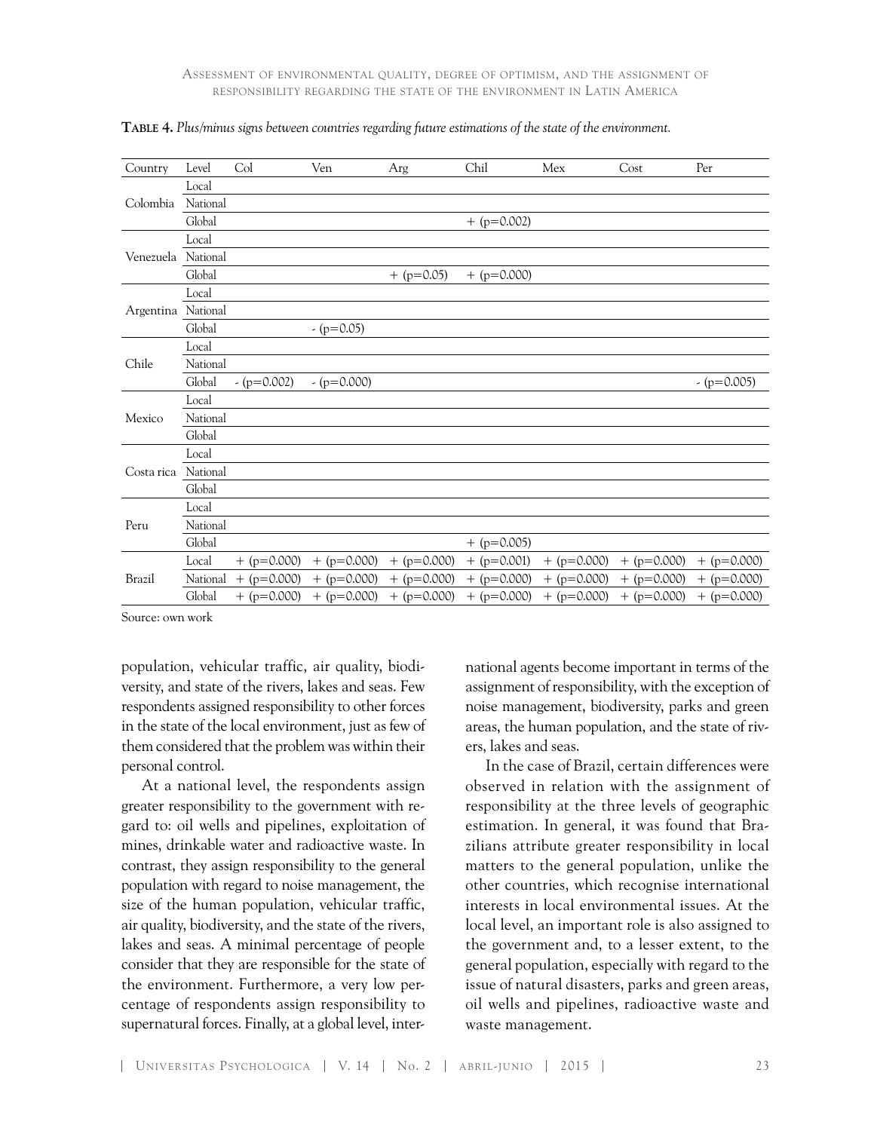| Country            | Level    | Col           | Ven           | Arg           | Chil          | Mex           | Cost          | Per           |
|--------------------|----------|---------------|---------------|---------------|---------------|---------------|---------------|---------------|
| Colombia           | Local    |               |               |               |               |               |               |               |
|                    | National |               |               |               |               |               |               |               |
|                    | Global   |               |               |               | $+$ (p=0.002) |               |               |               |
|                    | Local    |               |               |               |               |               |               |               |
| Venezuela National |          |               |               |               |               |               |               |               |
|                    | Global   |               |               | $+$ (p=0.05)  | $+$ (p=0.000) |               |               |               |
|                    | Local    |               |               |               |               |               |               |               |
| Argentina National |          |               |               |               |               |               |               |               |
|                    | Global   |               | $-(p=0.05)$   |               |               |               |               |               |
|                    | Local    |               |               |               |               |               |               |               |
| Chile              | National |               |               |               |               |               |               |               |
|                    | Global   | $-(p=0.002)$  | $-(p=0.000)$  |               |               |               |               | $-(p=0.005)$  |
|                    | Local    |               |               |               |               |               |               |               |
| Mexico             | National |               |               |               |               |               |               |               |
|                    | Global   |               |               |               |               |               |               |               |
|                    | Local    |               |               |               |               |               |               |               |
| Costa rica         | National |               |               |               |               |               |               |               |
|                    | Global   |               |               |               |               |               |               |               |
| Peru               | Local    |               |               |               |               |               |               |               |
|                    | National |               |               |               |               |               |               |               |
|                    | Global   |               |               |               | $+$ (p=0.005) |               |               |               |
| Brazil             | Local    | $+$ (p=0.000) | $+$ (p=0.000) | $+$ (p=0.000) | $+$ (p=0.001) | $+$ (p=0.000) | $+$ (p=0.000) | $+$ (p=0.000) |
|                    | National | $+$ (p=0.000) | $+$ (p=0.000) | $+$ (p=0.000) | $+$ (p=0.000) | $+$ (p=0.000) | $+$ (p=0.000) | $+$ (p=0.000) |
|                    | Global   | $+$ (p=0.000) | $+$ (p=0.000) | $+$ (p=0.000) | $+$ (p=0.000) | $+$ (p=0.000) | $+$ (p=0.000) | $+$ (p=0.000) |

| TABLE 4. Plus/minus signs between countries regarding future estimations of the state of the environment |  |  |  |
|----------------------------------------------------------------------------------------------------------|--|--|--|
|                                                                                                          |  |  |  |

Source: own work

population, vehicular traffic, air quality, biodiversity, and state of the rivers, lakes and seas. Few respondents assigned responsibility to other forces in the state of the local environment, just as few of them considered that the problem was within their personal control.

At a national level, the respondents assign greater responsibility to the government with regard to: oil wells and pipelines, exploitation of mines, drinkable water and radioactive waste. In contrast, they assign responsibility to the general population with regard to noise management, the size of the human population, vehicular traffic, air quality, biodiversity, and the state of the rivers, lakes and seas. A minimal percentage of people consider that they are responsible for the state of the environment. Furthermore, a very low percentage of respondents assign responsibility to supernatural forces. Finally, at a global level, international agents become important in terms of the assignment of responsibility, with the exception of noise management, biodiversity, parks and green areas, the human population, and the state of rivers, lakes and seas.

In the case of Brazil, certain differences were observed in relation with the assignment of responsibility at the three levels of geographic estimation. In general, it was found that Brazilians attribute greater responsibility in local matters to the general population, unlike the other countries, which recognise international interests in local environmental issues. At the local level, an important role is also assigned to the government and, to a lesser extent, to the general population, especially with regard to the issue of natural disasters, parks and green areas, oil wells and pipelines, radioactive waste and waste management.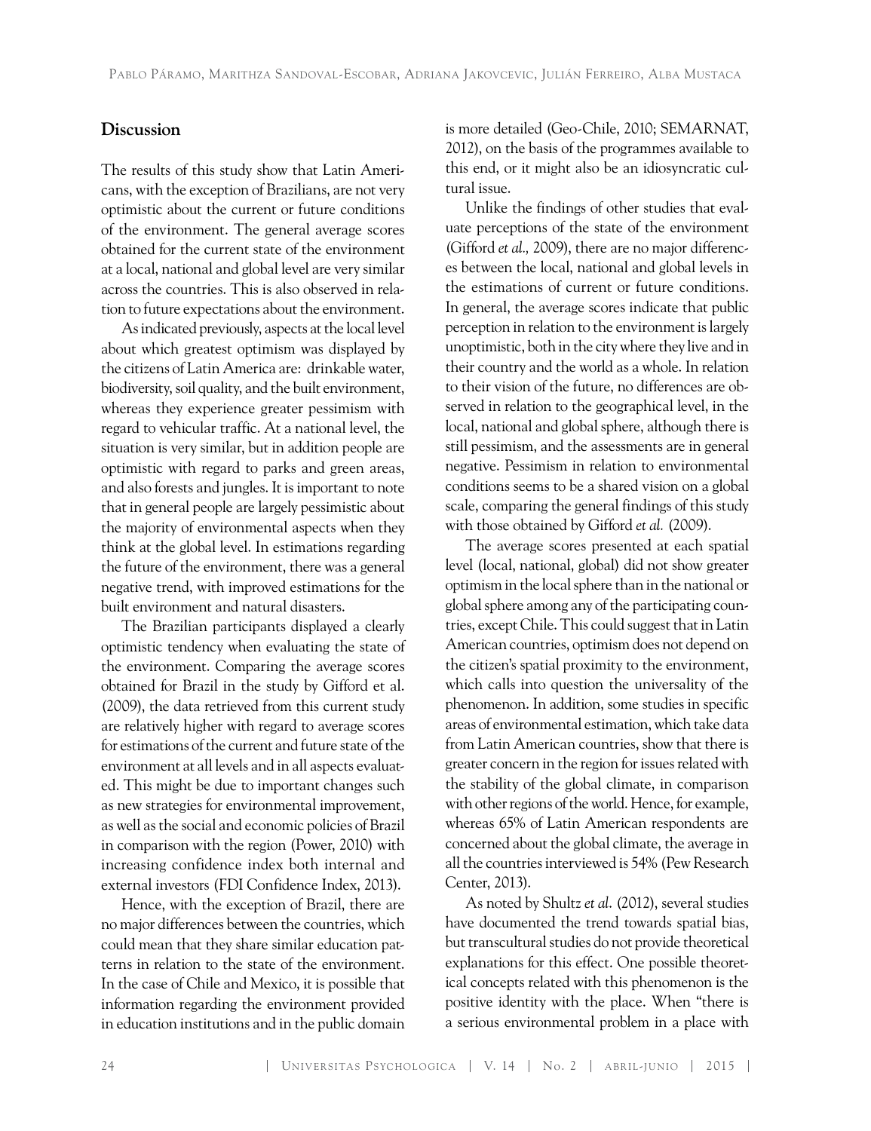#### **Discussion**

The results of this study show that Latin Americans, with the exception of Brazilians, are not very optimistic about the current or future conditions of the environment. The general average scores obtained for the current state of the environment at a local, national and global level are very similar across the countries. This is also observed in relation to future expectations about the environment.

As indicated previously, aspects at the local level about which greatest optimism was displayed by the citizens of Latin America are: drinkable water, biodiversity, soil quality, and the built environment, whereas they experience greater pessimism with regard to vehicular traffic. At a national level, the situation is very similar, but in addition people are optimistic with regard to parks and green areas, and also forests and jungles. It is important to note that in general people are largely pessimistic about the majority of environmental aspects when they think at the global level. In estimations regarding the future of the environment, there was a general negative trend, with improved estimations for the built environment and natural disasters.

The Brazilian participants displayed a clearly optimistic tendency when evaluating the state of the environment. Comparing the average scores obtained for Brazil in the study by Gifford et al. (2009), the data retrieved from this current study are relatively higher with regard to average scores for estimations of the current and future state of the environment at all levels and in all aspects evaluated. This might be due to important changes such as new strategies for environmental improvement, as well as the social and economic policies of Brazil in comparison with the region (Power, 2010) with increasing confidence index both internal and external investors (FDI Confidence Index, 2013).

Hence, with the exception of Brazil, there are no major differences between the countries, which could mean that they share similar education patterns in relation to the state of the environment. In the case of Chile and Mexico, it is possible that information regarding the environment provided in education institutions and in the public domain is more detailed (Geo-Chile, 2010; SEMARNAT, 2012), on the basis of the programmes available to this end, or it might also be an idiosyncratic cultural issue.

Unlike the findings of other studies that evaluate perceptions of the state of the environment (Gifford *et al.,* 2009), there are no major differences between the local, national and global levels in the estimations of current or future conditions. In general, the average scores indicate that public perception in relation to the environment is largely unoptimistic, both in the city where they live and in their country and the world as a whole. In relation to their vision of the future, no differences are observed in relation to the geographical level, in the local, national and global sphere, although there is still pessimism, and the assessments are in general negative. Pessimism in relation to environmental conditions seems to be a shared vision on a global scale, comparing the general findings of this study with those obtained by Gifford *et al.* (2009).

The average scores presented at each spatial level (local, national, global) did not show greater optimism in the local sphere than in the national or global sphere among any of the participating countries, except Chile. This could suggest that in Latin American countries, optimism does not depend on the citizen's spatial proximity to the environment, which calls into question the universality of the phenomenon. In addition, some studies in specific areas of environmental estimation, which take data from Latin American countries, show that there is greater concern in the region for issues related with the stability of the global climate, in comparison with other regions of the world. Hence, for example, whereas 65% of Latin American respondents are concerned about the global climate, the average in all the countries interviewed is 54% (Pew Research Center, 2013).

As noted by Shultz *et al*. (2012), several studies have documented the trend towards spatial bias, but transcultural studies do not provide theoretical explanations for this effect. One possible theoretical concepts related with this phenomenon is the positive identity with the place. When "there is a serious environmental problem in a place with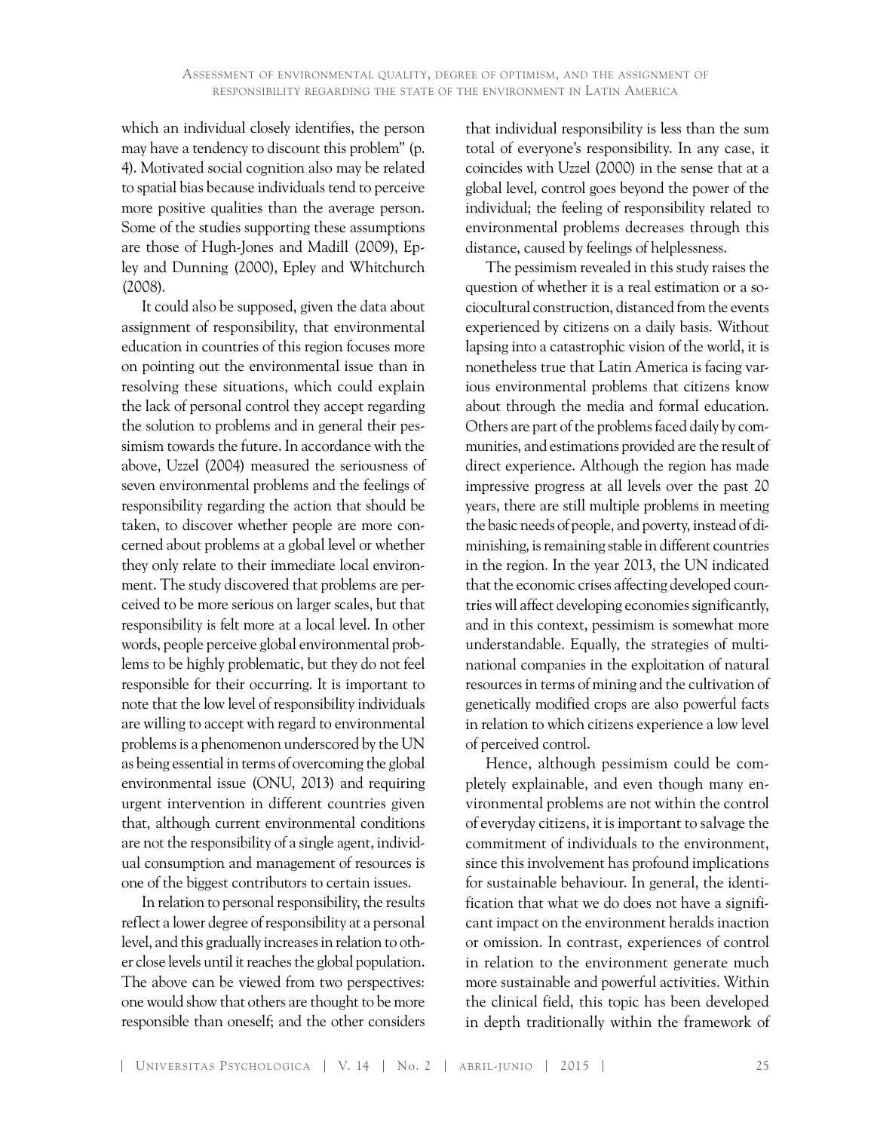which an individual closely identifies, the person may have a tendency to discount this problem" (p. 4). Motivated social cognition also may be related to spatial bias because individuals tend to perceive more positive qualities than the average person. Some of the studies supporting these assumptions are those of Hugh-Jones and Madill (2009), Epley and Dunning (2000), Epley and Whitchurch (2008).

It could also be supposed, given the data about assignment of responsibility, that environmental education in countries of this region focuses more on pointing out the environmental issue than in resolving these situations, which could explain the lack of personal control they accept regarding the solution to problems and in general their pessimism towards the future. In accordance with the above, Uzzel (2004) measured the seriousness of seven environmental problems and the feelings of responsibility regarding the action that should be taken, to discover whether people are more concerned about problems at a global level or whether they only relate to their immediate local environment. The study discovered that problems are perceived to be more serious on larger scales, but that responsibility is felt more at a local level. In other words, people perceive global environmental problems to be highly problematic, but they do not feel responsible for their occurring. It is important to note that the low level of responsibility individuals are willing to accept with regard to environmental problems is a phenomenon underscored by the UN as being essential in terms of overcoming the global environmental issue (ONU, 2013) and requiring urgent intervention in different countries given that, although current environmental conditions are not the responsibility of a single agent, individual consumption and management of resources is one of the biggest contributors to certain issues.

In relation to personal responsibility, the results reflect a lower degree of responsibility at a personal level, and this gradually increases in relation to other close levels until it reaches the global population. The above can be viewed from two perspectives: one would show that others are thought to be more responsible than oneself; and the other considers

that individual responsibility is less than the sum total of everyone's responsibility. In any case, it coincides with Uzzel (2000) in the sense that at a global level, control goes beyond the power of the individual; the feeling of responsibility related to environmental problems decreases through this distance, caused by feelings of helplessness.

The pessimism revealed in this study raises the question of whether it is a real estimation or a sociocultural construction, distanced from the events experienced by citizens on a daily basis. Without lapsing into a catastrophic vision of the world, it is nonetheless true that Latin America is facing various environmental problems that citizens know about through the media and formal education. Others are part of the problems faced daily by communities, and estimations provided are the result of direct experience. Although the region has made impressive progress at all levels over the past 20 years, there are still multiple problems in meeting the basic needs of people, and poverty, instead of diminishing, is remaining stable in different countries in the region. In the year 2013, the UN indicated that the economic crises affecting developed countries will affect developing economies significantly, and in this context, pessimism is somewhat more understandable. Equally, the strategies of multinational companies in the exploitation of natural resources in terms of mining and the cultivation of genetically modified crops are also powerful facts in relation to which citizens experience a low level of perceived control.

Hence, although pessimism could be completely explainable, and even though many environmental problems are not within the control of everyday citizens, it is important to salvage the commitment of individuals to the environment, since this involvement has profound implications for sustainable behaviour. In general, the identification that what we do does not have a significant impact on the environment heralds inaction or omission. In contrast, experiences of control in relation to the environment generate much more sustainable and powerful activities. Within the clinical field, this topic has been developed in depth traditionally within the framework of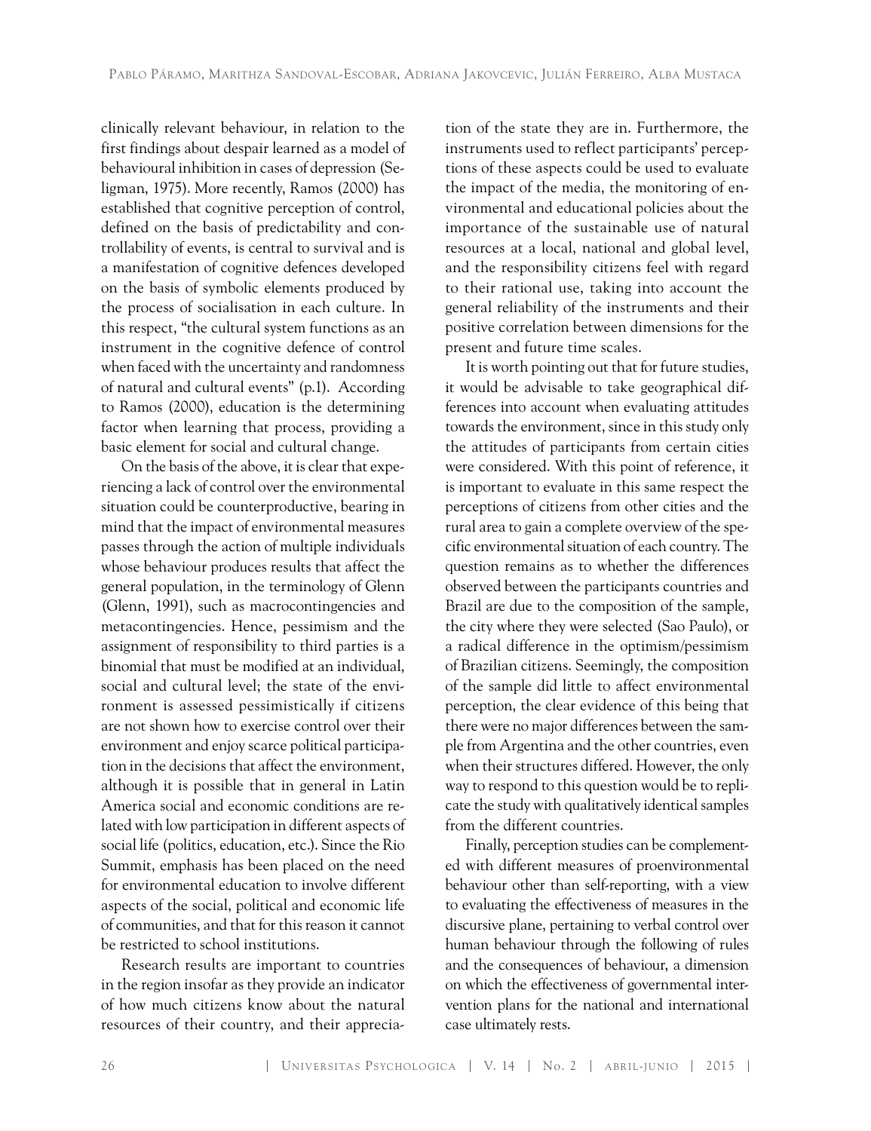clinically relevant behaviour, in relation to the first findings about despair learned as a model of behavioural inhibition in cases of depression (Seligman, 1975). More recently, Ramos (2000) has established that cognitive perception of control, defined on the basis of predictability and controllability of events, is central to survival and is a manifestation of cognitive defences developed on the basis of symbolic elements produced by the process of socialisation in each culture. In this respect, "the cultural system functions as an instrument in the cognitive defence of control when faced with the uncertainty and randomness of natural and cultural events" (p.1). According to Ramos (2000), education is the determining factor when learning that process, providing a basic element for social and cultural change.

On the basis of the above, it is clear that experiencing a lack of control over the environmental situation could be counterproductive, bearing in mind that the impact of environmental measures passes through the action of multiple individuals whose behaviour produces results that affect the general population, in the terminology of Glenn (Glenn, 1991), such as macrocontingencies and metacontingencies. Hence, pessimism and the assignment of responsibility to third parties is a binomial that must be modified at an individual, social and cultural level; the state of the environment is assessed pessimistically if citizens are not shown how to exercise control over their environment and enjoy scarce political participation in the decisions that affect the environment, although it is possible that in general in Latin America social and economic conditions are related with low participation in different aspects of social life (politics, education, etc.). Since the Rio Summit, emphasis has been placed on the need for environmental education to involve different aspects of the social, political and economic life of communities, and that for this reason it cannot be restricted to school institutions.

Research results are important to countries in the region insofar as they provide an indicator of how much citizens know about the natural resources of their country, and their apprecia-

tion of the state they are in. Furthermore, the instruments used to reflect participants' perceptions of these aspects could be used to evaluate the impact of the media, the monitoring of environmental and educational policies about the importance of the sustainable use of natural resources at a local, national and global level, and the responsibility citizens feel with regard to their rational use, taking into account the general reliability of the instruments and their positive correlation between dimensions for the present and future time scales.

It is worth pointing out that for future studies, it would be advisable to take geographical differences into account when evaluating attitudes towards the environment, since in this study only the attitudes of participants from certain cities were considered. With this point of reference, it is important to evaluate in this same respect the perceptions of citizens from other cities and the rural area to gain a complete overview of the specific environmental situation of each country. The question remains as to whether the differences observed between the participants countries and Brazil are due to the composition of the sample, the city where they were selected (Sao Paulo), or a radical difference in the optimism/pessimism of Brazilian citizens. Seemingly, the composition of the sample did little to affect environmental perception, the clear evidence of this being that there were no major differences between the sample from Argentina and the other countries, even when their structures differed. However, the only way to respond to this question would be to replicate the study with qualitatively identical samples from the different countries.

Finally, perception studies can be complemented with different measures of proenvironmental behaviour other than self-reporting, with a view to evaluating the effectiveness of measures in the discursive plane, pertaining to verbal control over human behaviour through the following of rules and the consequences of behaviour, a dimension on which the effectiveness of governmental intervention plans for the national and international case ultimately rests.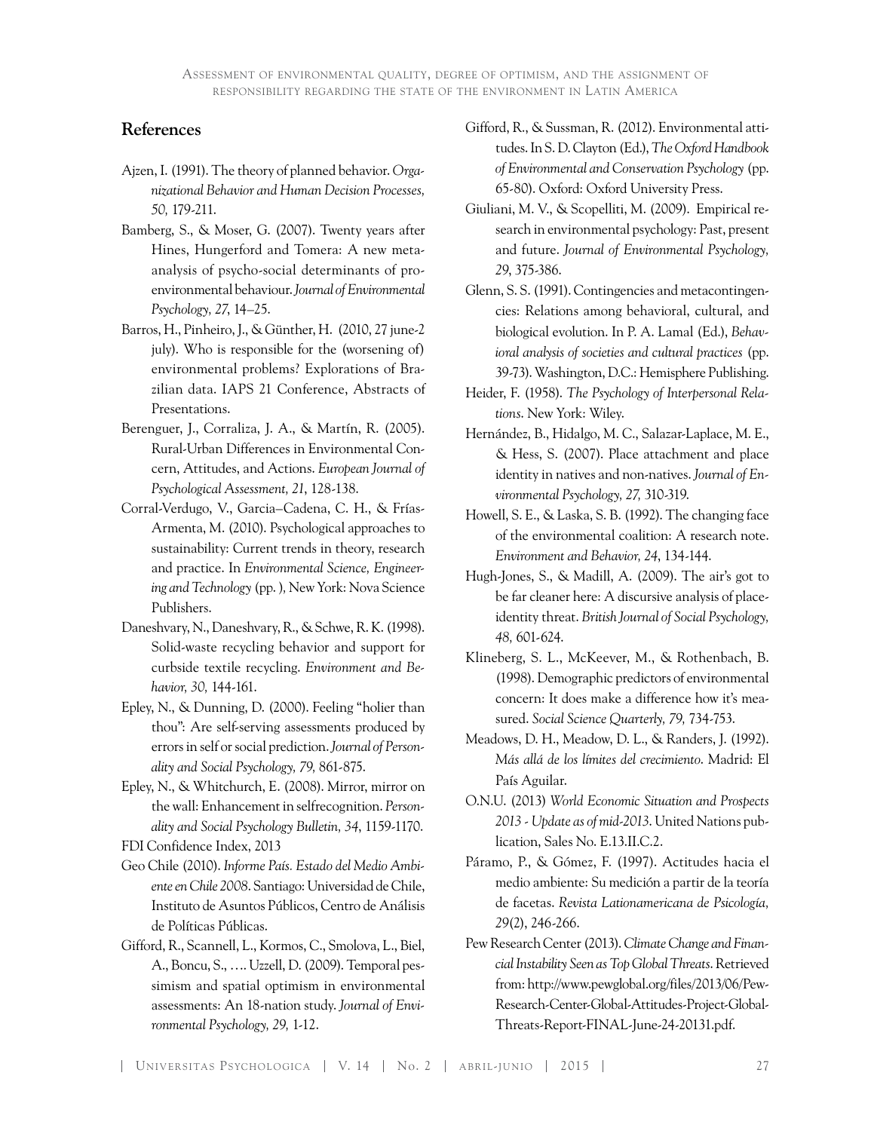### **References**

- Ajzen, I. (1991). The theory of planned behavior. *Organizational Behavior and Human Decision Processes, 50,* 179-211.
- Bamberg, S., & Moser, G. (2007). Twenty years after Hines, Hungerford and Tomera: A new metaanalysis of psycho-social determinants of proenvironmental behaviour. *Journal of Environmental Psychology, 27*, 14–25.
- Barros, H., Pinheiro, J., & Günther, H. (2010, 27 june-2 july). Who is responsible for the (worsening of) environmental problems? Explorations of Brazilian data. IAPS 21 Conference, Abstracts of Presentations.
- Berenguer, J., Corraliza, J. A., & Martín, R. (2005). Rural-Urban Differences in Environmental Concern, Attitudes, and Actions. *European Journal of Psychological Assessment, 21*, 128-138.
- Corral-Verdugo, V., Garcia–Cadena, C. H., & Frías-Armenta, M. (2010). Psychological approaches to sustainability: Current trends in theory, research and practice. In *Environmental Science, Engineering and Technology* (pp. )*,* New York: Nova Science Publishers.
- Daneshvary, N., Daneshvary, R., & Schwe, R. K. (1998). Solid-waste recycling behavior and support for curbside textile recycling. *Environment and Behavior, 30,* 144-161.
- Epley, N., & Dunning, D. (2000). Feeling "holier than thou": Are self-serving assessments produced by errors in self or social prediction. *Journal of Personality and Social Psychology, 79,* 861-875.
- Epley, N., & Whitchurch, E. (2008). Mirror, mirror on the wall: Enhancement in selfrecognition. *Personality and Social Psychology Bulletin, 34*, 1159-1170. FDI Confidence Index, 2013
- Geo Chile (2010). *Informe País. Estado del Medio Ambiente en Chile 2008*. Santiago: Universidad de Chile, Instituto de Asuntos Públicos, Centro de Análisis de Políticas Públicas.
- Gifford, R., Scannell, L., Kormos, C., Smolova, L., Biel, A., Boncu, S., …. Uzzell, D. (2009). Temporal pessimism and spatial optimism in environmental assessments: An 18-nation study. *Journal of Environmental Psychology, 29,* 1-12.
- Gifford, R., & Sussman, R. (2012). Environmental attitudes. In S. D. Clayton (Ed.), *The Oxford Handbook of Environmental and Conservation Psychology* (pp. 65-80). Oxford: Oxford University Press.
- Giuliani, M. V., & Scopelliti, M. (2009). Empirical research in environmental psychology: Past, present and future. *Journal of Environmental Psychology, 29*, 375-386.
- Glenn, S. S. (1991). Contingencies and metacontingencies: Relations among behavioral, cultural, and biological evolution. In P. A. Lamal (Ed.), *Behavioral analysis of societies and cultural practices* (pp. 39-73). Washington, D.C.: Hemisphere Publishing.
- Heider, F. (1958). *The Psychology of Interpersonal Relations*. New York: Wiley.
- Hernández, B., Hidalgo, M. C., Salazar-Laplace, M. E., & Hess, S. (2007). Place attachment and place identity in natives and non-natives. *Journal of Environmental Psychology, 27,* 310-319.
- Howell, S. E., & Laska, S. B. (1992). The changing face of the environmental coalition: A research note. *Environment and Behavior, 24*, 134-144.
- Hugh-Jones, S., & Madill, A. (2009). The air's got to be far cleaner here: A discursive analysis of placeidentity threat. *British Journal of Social Psychology, 48,* 601-624.
- Klineberg, S. L., McKeever, M., & Rothenbach, B. (1998). Demographic predictors of environmental concern: It does make a difference how it's measured. *Social Science Quarterly, 79,* 734-753.
- Meadows, D. H., Meadow, D. L., & Randers, J. (1992). *Más allá de los límites del crecimiento*. Madrid: El País Aguilar.
- O.N.U. (2013) *World Economic Situation and Prospects 2013 - Update as of mid-2013*. United Nations publication, Sales No. E.13.II.C.2.
- Páramo, P., & Gómez, F. (1997). Actitudes hacia el medio ambiente: Su medición a partir de la teoría de facetas. *Revista Lationamericana de Psicología, 29*(2), 246-266.
- Pew Research Center (2013). *Climate Change and Financial Instability Seen as Top Global Threats*. Retrieved from: http://www.pewglobal.org/files/2013/06/Pew-Research-Center-Global-Attitudes-Project-Global-Threats-Report-FINAL-June-24-20131.pdf.

| UNIVERSITAS PSYCHOLOGICA | V. 14 | No. 2 | ABRIL-JUNIO | 2015 | 27